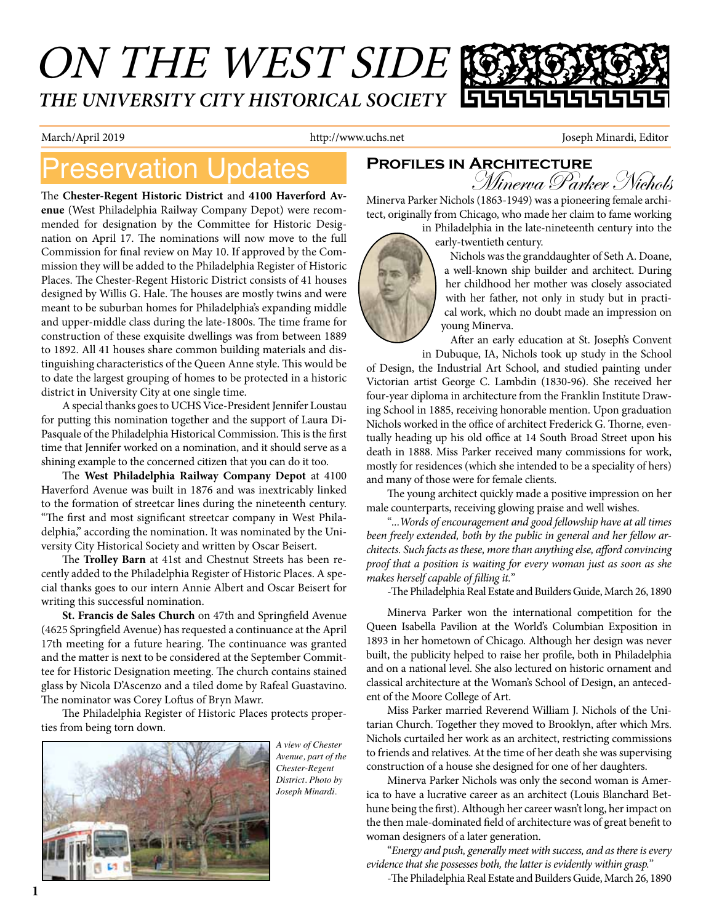# ON THE WEST SIDE *THE UNIVERSITY CITY HISTORICAL SOCIETY*

March/April 2019 **http://www.uchs.net** Joseph Minardi, Editor

## **Preservation Updates PROFILES IN ARCHITECTURE**

The **Chester-Regent Historic District** and **4100 Haverford Avenue** (West Philadelphia Railway Company Depot) were recommended for designation by the Committee for Historic Designation on April 17. The nominations will now move to the full Commission for final review on May 10. If approved by the Commission they will be added to the Philadelphia Register of Historic Places. The Chester-Regent Historic District consists of 41 houses designed by Willis G. Hale. The houses are mostly twins and were meant to be suburban homes for Philadelphia's expanding middle and upper-middle class during the late-1800s. The time frame for construction of these exquisite dwellings was from between 1889 to 1892. All 41 houses share common building materials and distinguishing characteristics of the Queen Anne style. This would be to date the largest grouping of homes to be protected in a historic district in University City at one single time.

A special thanks goes to UCHS Vice-President Jennifer Loustau for putting this nomination together and the support of Laura Di-Pasquale of the Philadelphia Historical Commission. This is the first time that Jennifer worked on a nomination, and it should serve as a shining example to the concerned citizen that you can do it too.

The **West Philadelphia Railway Company Depot** at 4100 Haverford Avenue was built in 1876 and was inextricably linked to the formation of streetcar lines during the nineteenth century. "The first and most significant streetcar company in West Philadelphia," according the nomination. It was nominated by the University City Historical Society and written by Oscar Beisert.

 The **Trolley Barn** at 41st and Chestnut Streets has been recently added to the Philadelphia Register of Historic Places. A special thanks goes to our intern Annie Albert and Oscar Beisert for writing this successful nomination.

**St. Francis de Sales Church** on 47th and Springfield Avenue (4625 Springfield Avenue) has requested a continuance at the April 17th meeting for a future hearing. The continuance was granted and the matter is next to be considered at the September Committee for Historic Designation meeting. The church contains stained glass by Nicola D'Ascenzo and a tiled dome by Rafeal Guastavino. The nominator was Corey Loftus of Bryn Mawr.

The Philadelphia Register of Historic Places protects properties from being torn down.



*A view of Chester Avenue, part of the Chester-Regent District. Photo by Joseph Minardi.*

Minerva Parker Nichols

Minerva Parker Nichols (1863-1949) was a pioneering female architect, originally from Chicago, who made her claim to fame working

in Philadelphia in the late-nineteenth century into the early-twentieth century.



Nichols was the granddaughter of Seth A. Doane, a well-known ship builder and architect. During her childhood her mother was closely associated with her father, not only in study but in practical work, which no doubt made an impression on young Minerva.

After an early education at St. Joseph's Convent in Dubuque, IA, Nichols took up study in the School

of Design, the Industrial Art School, and studied painting under Victorian artist George C. Lambdin (1830-96). She received her four-year diploma in architecture from the Franklin Institute Drawing School in 1885, receiving honorable mention. Upon graduation Nichols worked in the office of architect Frederick G. Thorne, eventually heading up his old office at 14 South Broad Street upon his death in 1888. Miss Parker received many commissions for work, mostly for residences (which she intended to be a speciality of hers) and many of those were for female clients.

The young architect quickly made a positive impression on her male counterparts, receiving glowing praise and well wishes.

"*...Words of encouragement and good fellowship have at all times been freely extended, both by the public in general and her fellow architects. Such facts as these, more than anything else, afford convincing proof that a position is waiting for every woman just as soon as she makes herself capable of filling it.*"

-The Philadelphia Real Estate and Builders Guide, March 26, 1890

Minerva Parker won the international competition for the Queen Isabella Pavilion at the World's Columbian Exposition in 1893 in her hometown of Chicago. Although her design was never built, the publicity helped to raise her profile, both in Philadelphia and on a national level. She also lectured on historic ornament and classical architecture at the Woman's School of Design, an antecedent of the Moore College of Art.

Miss Parker married Reverend William J. Nichols of the Unitarian Church. Together they moved to Brooklyn, after which Mrs. Nichols curtailed her work as an architect, restricting commissions to friends and relatives. At the time of her death she was supervising construction of a house she designed for one of her daughters.

Minerva Parker Nichols was only the second woman is America to have a lucrative career as an architect (Louis Blanchard Bethune being the first). Although her career wasn't long, her impact on the then male-dominated field of architecture was of great benefit to woman designers of a later generation.

"*Energy and push, generally meet with success, and as there is every evidence that she possesses both, the latter is evidently within grasp.*"

-The Philadelphia Real Estate and Builders Guide, March 26, 1890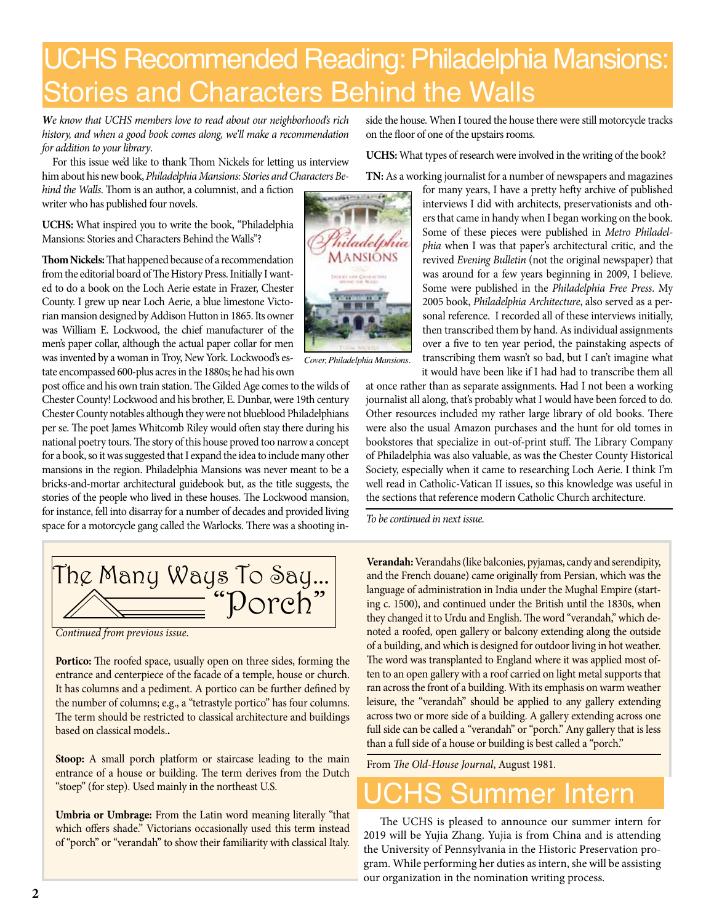# UCHS Recommended Reading: Philadelphia Mansions: Stories and Characters Behind the Walls

*We know that UCHS members love to read about our neighborhood's rich history, and when a good book comes along, we'll make a recommendation for addition to your library*.

For this issue we'd like to thank Thom Nickels for letting us interview him about his new book, *Philadelphia Mansions: Stories and Characters Be-*

*hind the Walls*. Thom is an author, a columnist, and a fiction writer who has published four novels.

**UCHS:** What inspired you to write the book, "Philadelphia Mansions: Stories and Characters Behind the Walls"?

**Thom Nickels:** That happened because of a recommendation from the editorial board of The History Press. Initially I wanted to do a book on the Loch Aerie estate in Frazer, Chester County. I grew up near Loch Aerie, a blue limestone Victorian mansion designed by Addison Hutton in 1865. Its owner was William E. Lockwood, the chief manufacturer of the men's paper collar, although the actual paper collar for men was invented by a woman in Troy, New York. Lockwood's estate encompassed 600-plus acres in the 1880s; he had his own

post office and his own train station. The Gilded Age comes to the wilds of Chester County! Lockwood and his brother, E. Dunbar, were 19th century Chester County notables although they were not blueblood Philadelphians per se. The poet James Whitcomb Riley would often stay there during his national poetry tours. The story of this house proved too narrow a concept for a book, so it was suggested that I expand the idea to include many other mansions in the region. Philadelphia Mansions was never meant to be a bricks-and-mortar architectural guidebook but, as the title suggests, the stories of the people who lived in these houses. The Lockwood mansion, for instance, fell into disarray for a number of decades and provided living space for a motorcycle gang called the Warlocks. There was a shooting in-

The Many Ways To Say... "Porch"

*Continued from previous issue*.

Portico: The roofed space, usually open on three sides, forming the entrance and centerpiece of the facade of a temple, house or church. It has columns and a pediment. A portico can be further defined by the number of columns; e.g., a "tetrastyle portico" has four columns. The term should be restricted to classical architecture and buildings based on classical models.**.**

**Stoop:** A small porch platform or staircase leading to the main entrance of a house or building. The term derives from the Dutch "stoep" (for step). Used mainly in the northeast U.S.

**Umbria or Umbrage:** From the Latin word meaning literally "that which offers shade." Victorians occasionally used this term instead of "porch" or "verandah" to show their familiarity with classical Italy.

side the house. When I toured the house there were still motorcycle tracks on the floor of one of the upstairs rooms.

**UCHS:** What types of research were involved in the writing of the book?



*Cover, Philadelphia Mansions.*

**TN:** As a working journalist for a number of newspapers and magazines for many years, I have a pretty hefty archive of published interviews I did with architects, preservationists and others that came in handy when I began working on the book. Some of these pieces were published in *Metro Philadelphia* when I was that paper's architectural critic, and the revived *Evening Bulletin* (not the original newspaper) that was around for a few years beginning in 2009, I believe. Some were published in the *Philadelphia Free Press*. My 2005 book, *Philadelphia Architecture*, also served as a personal reference. I recorded all of these interviews initially, then transcribed them by hand. As individual assignments over a five to ten year period, the painstaking aspects of transcribing them wasn't so bad, but I can't imagine what it would have been like if I had had to transcribe them all

at once rather than as separate assignments. Had I not been a working journalist all along, that's probably what I would have been forced to do. Other resources included my rather large library of old books. There were also the usual Amazon purchases and the hunt for old tomes in bookstores that specialize in out-of-print stuff. The Library Company of Philadelphia was also valuable, as was the Chester County Historical Society, especially when it came to researching Loch Aerie. I think I'm well read in Catholic-Vatican II issues, so this knowledge was useful in the sections that reference modern Catholic Church architecture.

*To be continued in next issue.*

**Verandah:** Verandahs (like balconies, pyjamas, candy and serendipity, and the French douane) came originally from Persian, which was the language of administration in India under the Mughal Empire (starting c. 1500), and continued under the British until the 1830s, when they changed it to Urdu and English. The word "verandah," which denoted a roofed, open gallery or balcony extending along the outside of a building, and which is designed for outdoor living in hot weather. The word was transplanted to England where it was applied most often to an open gallery with a roof carried on light metal supports that ran across the front of a building. With its emphasis on warm weather leisure, the "verandah" should be applied to any gallery extending across two or more side of a building. A gallery extending across one full side can be called a "verandah" or "porch." Any gallery that is less than a full side of a house or building is best called a "porch."

From *The Old-House Journal*, August 1981*.*

## **Summer Intern**

 The UCHS is pleased to announce our summer intern for 2019 will be Yujia Zhang. Yujia is from China and is attending the University of Pennsylvania in the Historic Preservation program. While performing her duties as intern, she will be assisting our organization in the nomination writing process.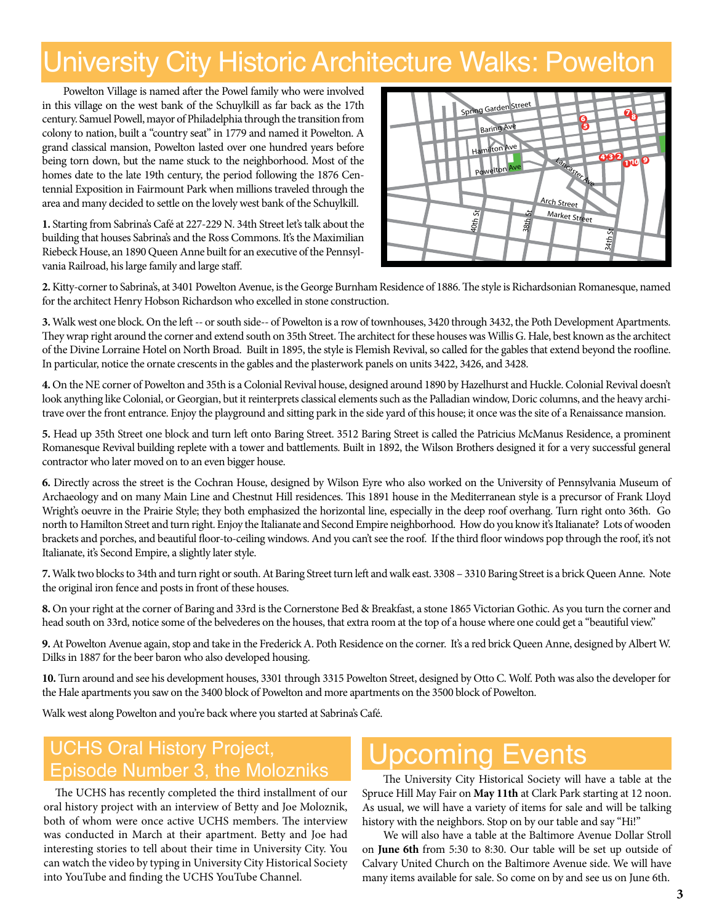# University City Historic Architecture Walks: Powelton

Powelton Village is named after the Powel family who were involved in this village on the west bank of the Schuylkill as far back as the 17th century. Samuel Powell, mayor of Philadelphia through the transition from colony to nation, built a "country seat" in 1779 and named it Powelton. A grand classical mansion, Powelton lasted over one hundred years before being torn down, but the name stuck to the neighborhood. Most of the homes date to the late 19th century, the period following the 1876 Centennial Exposition in Fairmount Park when millions traveled through the area and many decided to settle on the lovely west bank of the Schuylkill.

**1.** Starting from Sabrina's Café at 227-229 N. 34th Street let's talk about the building that houses Sabrina's and the Ross Commons. It's the Maximilian Riebeck House, an 1890 Queen Anne built for an executive of the Pennsylvania Railroad, his large family and large staff.



**2.** Kitty-corner to Sabrina's, at 3401 Powelton Avenue, is the George Burnham Residence of 1886. The style is Richardsonian Romanesque, named for the architect Henry Hobson Richardson who excelled in stone construction.

**3.** Walk west one block. On the left -- or south side-- of Powelton is a row of townhouses, 3420 through 3432, the Poth Development Apartments. They wrap right around the corner and extend south on 35th Street. The architect for these houses was Willis G. Hale, best known as the architect of the Divine Lorraine Hotel on North Broad. Built in 1895, the style is Flemish Revival, so called for the gables that extend beyond the roofline. In particular, notice the ornate crescents in the gables and the plasterwork panels on units 3422, 3426, and 3428.

**4.** On the NE corner of Powelton and 35th is a Colonial Revival house, designed around 1890 by Hazelhurst and Huckle. Colonial Revival doesn't look anything like Colonial, or Georgian, but it reinterprets classical elements such as the Palladian window, Doric columns, and the heavy architrave over the front entrance. Enjoy the playground and sitting park in the side yard of this house; it once was the site of a Renaissance mansion.

**5.** Head up 35th Street one block and turn left onto Baring Street. 3512 Baring Street is called the Patricius McManus Residence, a prominent Romanesque Revival building replete with a tower and battlements. Built in 1892, the Wilson Brothers designed it for a very successful general contractor who later moved on to an even bigger house.

**6.** Directly across the street is the Cochran House, designed by Wilson Eyre who also worked on the University of Pennsylvania Museum of Archaeology and on many Main Line and Chestnut Hill residences. This 1891 house in the Mediterranean style is a precursor of Frank Lloyd Wright's oeuvre in the Prairie Style; they both emphasized the horizontal line, especially in the deep roof overhang. Turn right onto 36th. Go north to Hamilton Street and turn right. Enjoy the Italianate and Second Empire neighborhood. How do you know it's Italianate? Lots of wooden brackets and porches, and beautiful floor-to-ceiling windows. And you can't see the roof. If the third floor windows pop through the roof, it's not Italianate, it's Second Empire, a slightly later style.

**7.** Walk two blocks to 34th and turn right or south. At Baring Street turn left and walk east. 3308 – 3310 Baring Street is a brick Queen Anne. Note the original iron fence and posts in front of these houses.

**8.** On your right at the corner of Baring and 33rd is the Cornerstone Bed & Breakfast, a stone 1865 Victorian Gothic. As you turn the corner and head south on 33rd, notice some of the belvederes on the houses, that extra room at the top of a house where one could get a "beautiful view."

**9.** At Powelton Avenue again, stop and take in the Frederick A. Poth Residence on the corner. It's a red brick Queen Anne, designed by Albert W. Dilks in 1887 for the beer baron who also developed housing.

**10.** Turn around and see his development houses, 3301 through 3315 Powelton Street, designed by Otto C. Wolf. Poth was also the developer for the Hale apartments you saw on the 3400 block of Powelton and more apartments on the 3500 block of Powelton.

Walk west along Powelton and you're back where you started at Sabrina's Café.

### UCHS Oral History Project, UCHS Oral History Project,<br>Episode Number 3, the Molozniks The University City Historical Section will be

 The UCHS has recently completed the third installment of our oral history project with an interview of Betty and Joe Moloznik, both of whom were once active UCHS members. The interview was conducted in March at their apartment. Betty and Joe had interesting stories to tell about their time in University City. You can watch the video by typing in University City Historical Society into YouTube and finding the UCHS YouTube Channel.

The University City Historical Society will have a table at the Spruce Hill May Fair on **May 11th** at Clark Park starting at 12 noon. As usual, we will have a variety of items for sale and will be talking history with the neighbors. Stop on by our table and say "Hi!"

We will also have a table at the Baltimore Avenue Dollar Stroll on **June 6th** from 5:30 to 8:30. Our table will be set up outside of Calvary United Church on the Baltimore Avenue side. We will have many items available for sale. So come on by and see us on June 6th.